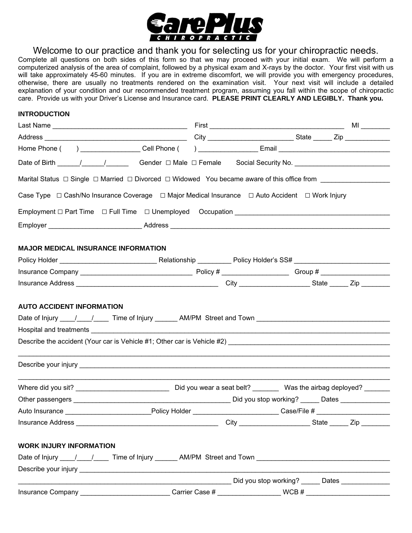

Welcome to our practice and thank you for selecting us for your chiropractic needs.

Complete all questions on both sides of this form so that we may proceed with your initial exam. We will perform a computerized analysis of the area of complaint, followed by a physical exam and X-rays by the doctor. Your first visit with us will take approximately 45-60 minutes. If you are in extreme discomfort, we will provide you with emergency procedures, otherwise, there are usually no treatments rendered on the examination visit. Your next visit will include a detailed explanation of your condition and our recommended treatment program, assuming you fall within the scope of chiropractic care. Provide us with your Driver's License and Insurance card. **PLEASE PRINT CLEARLY AND LEGIBLY. Thank you.** 

## **INTRODUCTION**

| Home Phone ( ) __________________Cell Phone ( ) ____________________Email _______________________________                              |                                                                                          |
|----------------------------------------------------------------------------------------------------------------------------------------|------------------------------------------------------------------------------------------|
| Date of Birth ______/______/__________Gender □ Male □ Female Social Security No. ________________________                              |                                                                                          |
| Marital Status $\Box$ Single $\Box$ Married $\Box$ Divorced $\Box$ Widowed You became aware of this office from ____________________   |                                                                                          |
| Case Type  □ Cash/No Insurance Coverage  □ Major Medical Insurance  □ Auto Accident □ Work Injury                                      |                                                                                          |
|                                                                                                                                        |                                                                                          |
|                                                                                                                                        |                                                                                          |
|                                                                                                                                        |                                                                                          |
| <b>MAJOR MEDICAL INSURANCE INFORMATION</b>                                                                                             |                                                                                          |
|                                                                                                                                        |                                                                                          |
|                                                                                                                                        |                                                                                          |
|                                                                                                                                        |                                                                                          |
|                                                                                                                                        |                                                                                          |
|                                                                                                                                        |                                                                                          |
|                                                                                                                                        |                                                                                          |
| Other passengers example and the Did you stop working? _____ Dates _____________                                                       |                                                                                          |
| Auto Insurance ________________________________Policy Holder ____________________________Case/File # _________________________________ |                                                                                          |
| Insurance Address                                                                                                                      | __________________________________City ________________________State _______ Zip _______ |
| <b>WORK INJURY INFORMATION</b>                                                                                                         |                                                                                          |
| Date of Injury 11 12 12 12 12 11 11 12 12 13 13 14 14 14 14 14 14 15 16 17 17 18 17 18 17 18 17 18 17 18 17 18                         |                                                                                          |
|                                                                                                                                        |                                                                                          |
|                                                                                                                                        |                                                                                          |
|                                                                                                                                        | Did you stop working? ______ Dates _____________                                         |